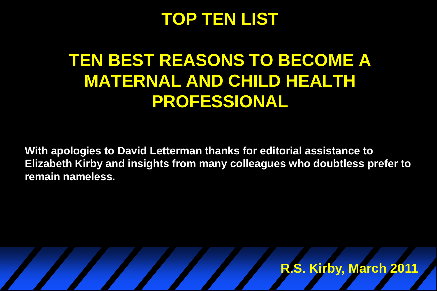#### **TOP TEN LIST**

# **TEN BEST REASONS TO BECOME A MATERNAL AND CHILD HEALTH PROFESSIONAL**

**With apologies to David Letterman thanks for editorial assistance to Elizabeth Kirby and insights from many colleagues who doubtless prefer to remain nameless.** 

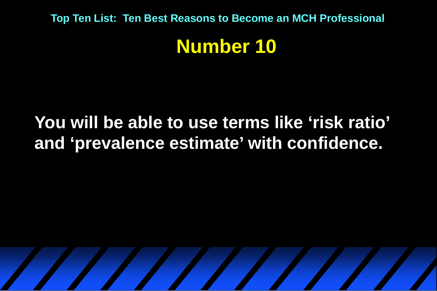## **You will be able to use terms like 'risk ratio' and 'prevalence estimate' with confidence.**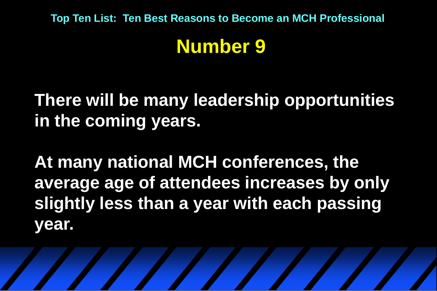## **Number 9**

**There will be many leadership opportunities in the coming years.** 

**At many national MCH conferences, the average age of attendees increases by only slightly less than a year with each passing year.**

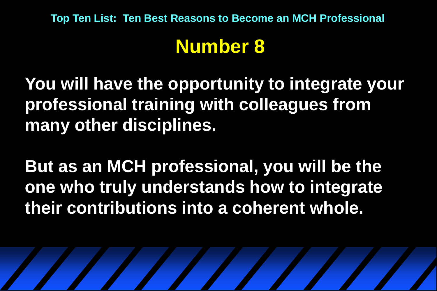# **Number 8**

**You will have the opportunity to integrate your professional training with colleagues from many other disciplines.**

**But as an MCH professional, you will be the one who truly understands how to integrate their contributions into a coherent whole.**

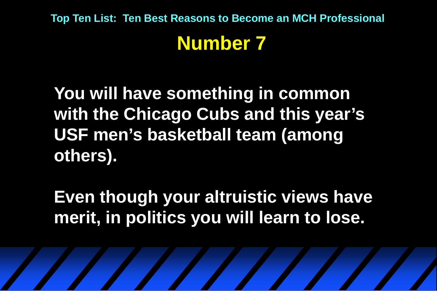**You will have something in common with the Chicago Cubs and this year's USF men's basketball team (among others).**

**Even though your altruistic views have merit, in politics you will learn to lose.**

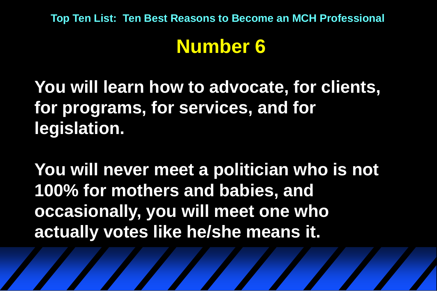# **Number 6**

**You will learn how to advocate, for clients, for programs, for services, and for legislation.**

**You will never meet a politician who is not 100% for mothers and babies, and occasionally, you will meet one who actually votes like he/she means it.**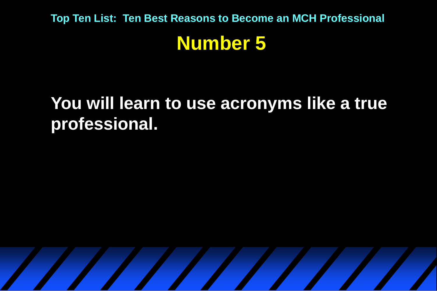### **You will learn to use acronyms like a true professional.**

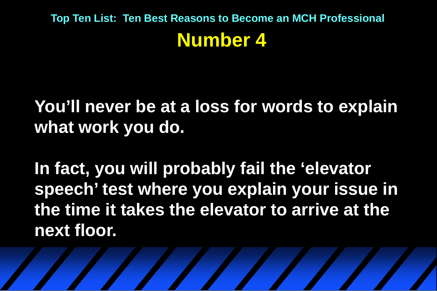**You'll never be at a loss for words to explain what work you do.**

**In fact, you will probably fail the 'elevator speech' test where you explain your issue in the time it takes the elevator to arrive at the next floor.**

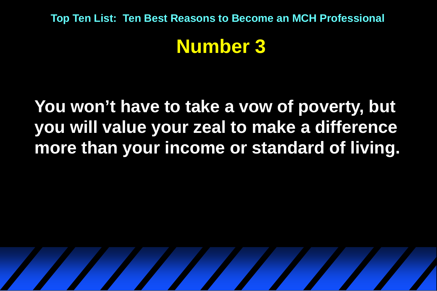**You won't have to take a vow of poverty, but you will value your zeal to make a difference more than your income or standard of living.**

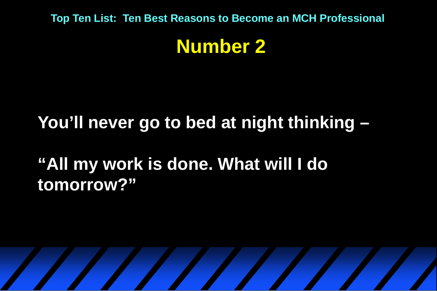### **Number 2**

## **You'll never go to bed at night thinking –**

**"All my work is done. What will I do tomorrow?"**